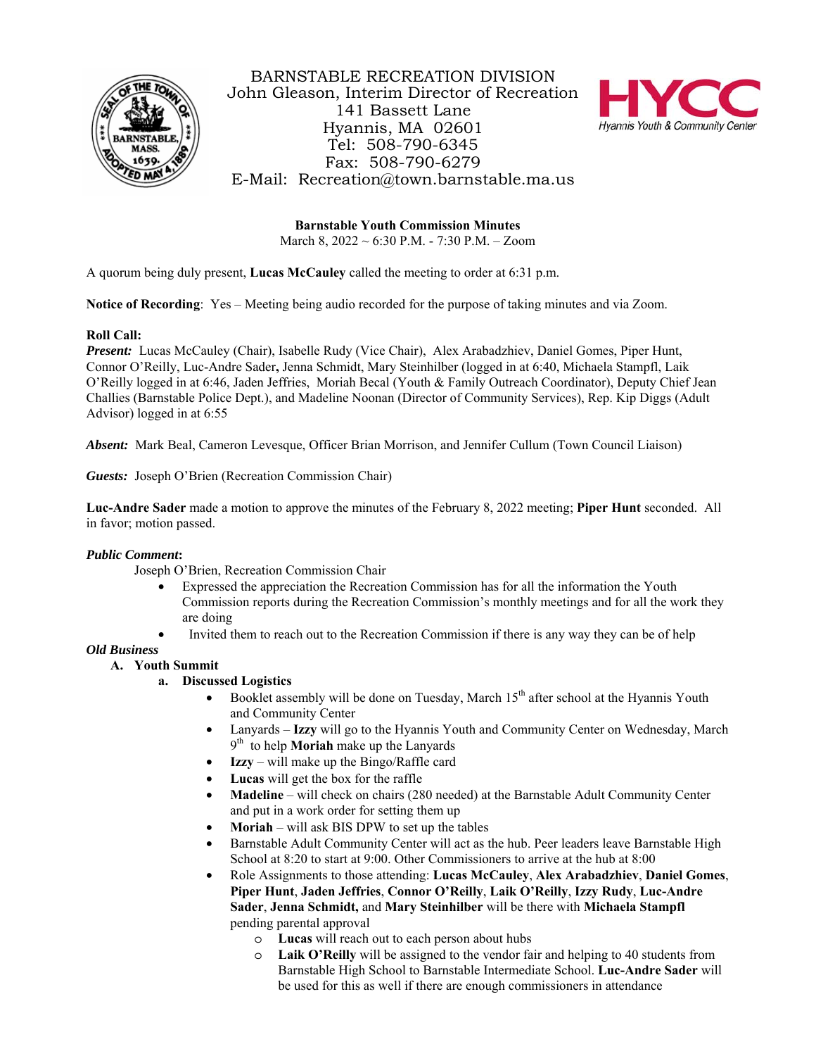

BARNSTABLE RECREATION DIVISION John Gleason, Interim Director of Recreation 141 Bassett Lane Hyannis, MA 02601 Tel: 508-790-6345 Fax: 508-790-6279 E-Mail: Recreation@town.barnstable.ma.us



**Barnstable Youth Commission Minutes** March 8, 2022 ~ 6:30 P.M. - 7:30 P.M. – Zoom

A quorum being duly present, **Lucas McCauley** called the meeting to order at 6:31 p.m.

**Notice of Recording**: Yes – Meeting being audio recorded for the purpose of taking minutes and via Zoom.

# **Roll Call:**

*Present:* Lucas McCauley (Chair), Isabelle Rudy (Vice Chair), Alex Arabadzhiev, Daniel Gomes, Piper Hunt, Connor O'Reilly, Luc-Andre Sader**,** Jenna Schmidt, Mary Steinhilber (logged in at 6:40, Michaela Stampfl, Laik O'Reilly logged in at 6:46, Jaden Jeffries, Moriah Becal (Youth & Family Outreach Coordinator), Deputy Chief Jean Challies (Barnstable Police Dept.), and Madeline Noonan (Director of Community Services), Rep. Kip Diggs (Adult Advisor) logged in at 6:55

*Absent:* Mark Beal, Cameron Levesque, Officer Brian Morrison, and Jennifer Cullum (Town Council Liaison)

*Guests:* Joseph O'Brien (Recreation Commission Chair)

**Luc-Andre Sader** made a motion to approve the minutes of the February 8, 2022 meeting; **Piper Hunt** seconded. All in favor; motion passed.

### *Public Comment***:**

Joseph O'Brien, Recreation Commission Chair

- Expressed the appreciation the Recreation Commission has for all the information the Youth Commission reports during the Recreation Commission's monthly meetings and for all the work they are doing
	- Invited them to reach out to the Recreation Commission if there is any way they can be of help

### *Old Business*

### **A. Youth Summit**

- **a. Discussed Logistics** 
	- Booklet assembly will be done on Tuesday, March  $15<sup>th</sup>$  after school at the Hyannis Youth and Community Center
	- Lanyards **Izzy** will go to the Hyannis Youth and Community Center on Wednesday, March 9th to help **Moriah** make up the Lanyards
	- **Izzy**  will make up the Bingo/Raffle card
	- **Lucas** will get the box for the raffle
	- **Madeline** will check on chairs (280 needed) at the Barnstable Adult Community Center and put in a work order for setting them up
	- **Moriah** will ask BIS DPW to set up the tables
	- Barnstable Adult Community Center will act as the hub. Peer leaders leave Barnstable High School at 8:20 to start at 9:00. Other Commissioners to arrive at the hub at 8:00
	- Role Assignments to those attending: **Lucas McCauley**, **Alex Arabadzhiev**, **Daniel Gomes**, **Piper Hunt**, **Jaden Jeffries**, **Connor O'Reilly**, **Laik O'Reilly**, **Izzy Rudy**, **Luc-Andre Sader**, **Jenna Schmidt,** and **Mary Steinhilber** will be there with **Michaela Stampfl**  pending parental approval
		- o **Lucas** will reach out to each person about hubs
		- o **Laik O'Reilly** will be assigned to the vendor fair and helping to 40 students from Barnstable High School to Barnstable Intermediate School. **Luc-Andre Sader** will be used for this as well if there are enough commissioners in attendance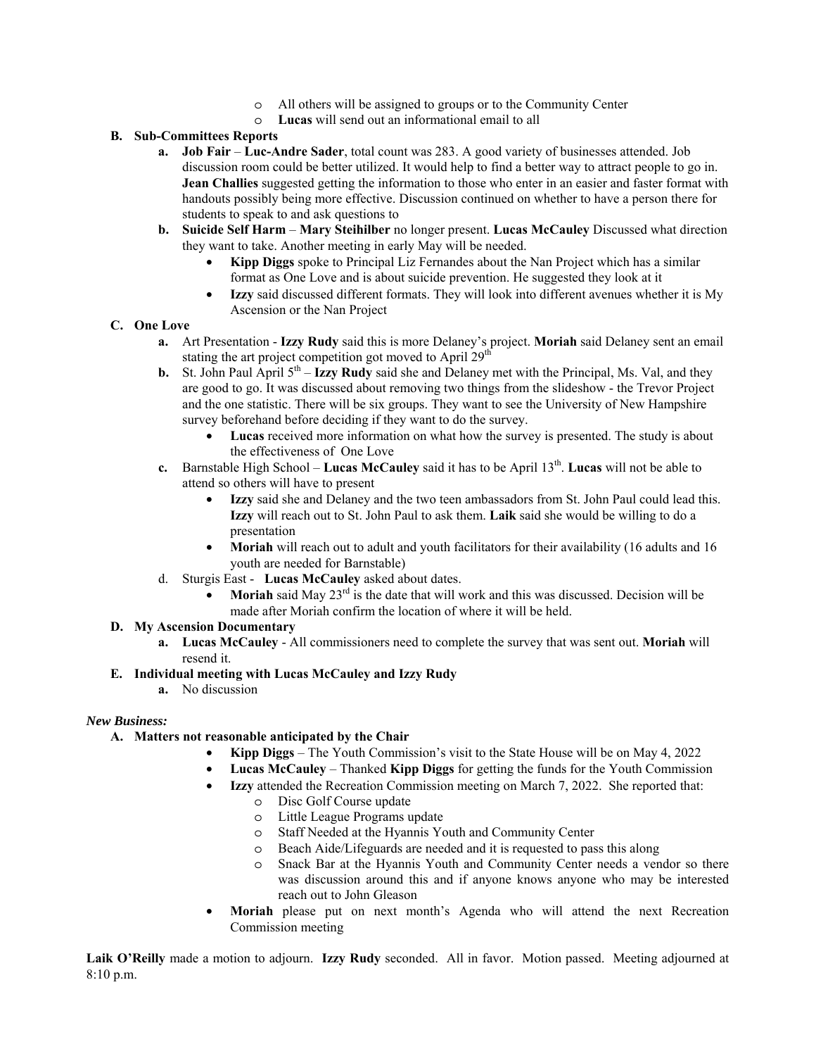- o All others will be assigned to groups or to the Community Center
- o **Lucas** will send out an informational email to all

### **B. Sub-Committees Reports**

- **a. Job Fair Luc-Andre Sader**, total count was 283. A good variety of businesses attended. Job discussion room could be better utilized. It would help to find a better way to attract people to go in. **Jean Challies** suggested getting the information to those who enter in an easier and faster format with handouts possibly being more effective. Discussion continued on whether to have a person there for students to speak to and ask questions to
- **b. Suicide Self Harm Mary Steihilber** no longer present. **Lucas McCauley** Discussed what direction they want to take. Another meeting in early May will be needed.
	- **Kipp Diggs** spoke to Principal Liz Fernandes about the Nan Project which has a similar format as One Love and is about suicide prevention. He suggested they look at it
	- **Izzy** said discussed different formats. They will look into different avenues whether it is My Ascension or the Nan Project

# **C. One Love**

- **a.** Art Presentation **Izzy Rudy** said this is more Delaney's project. **Moriah** said Delaney sent an email stating the art project competition got moved to April  $29<sup>th</sup>$
- **b.** St. John Paul April  $5<sup>th</sup>$  **Izzy Rudy** said she and Delaney met with the Principal, Ms. Val, and they are good to go. It was discussed about removing two things from the slideshow - the Trevor Project and the one statistic. There will be six groups. They want to see the University of New Hampshire survey beforehand before deciding if they want to do the survey.
	- **Lucas** received more information on what how the survey is presented. The study is about the effectiveness of One Love
- **c.** Barnstable High School **Lucas McCauley** said it has to be April 13<sup>th</sup>. **Lucas** will not be able to attend so others will have to present
	- **Izzy** said she and Delaney and the two teen ambassadors from St. John Paul could lead this. **Izzy** will reach out to St. John Paul to ask them. **Laik** said she would be willing to do a presentation
	- Moriah will reach out to adult and youth facilitators for their availability (16 adults and 16 youth are needed for Barnstable)
- d. Sturgis East **Lucas McCauley** asked about dates.
	- **Moriah** said May 23<sup>rd</sup> is the date that will work and this was discussed. Decision will be made after Moriah confirm the location of where it will be held.

### **D. My Ascension Documentary**

**a. Lucas McCauley** - All commissioners need to complete the survey that was sent out. **Moriah** will resend it.

### **E. Individual meeting with Lucas McCauley and Izzy Rudy**

**a.** No discussion

### *New Business:*

- **A. Matters not reasonable anticipated by the Chair** 
	- **Kipp Diggs**  The Youth Commission's visit to the State House will be on May 4, 2022
	- **Lucas McCauley** Thanked **Kipp Diggs** for getting the funds for the Youth Commission
	- **Izzy** attended the Recreation Commission meeting on March 7, 2022. She reported that:
		- o Disc Golf Course update
		- o Little League Programs update
		- o Staff Needed at the Hyannis Youth and Community Center
		- o Beach Aide/Lifeguards are needed and it is requested to pass this along
		- o Snack Bar at the Hyannis Youth and Community Center needs a vendor so there was discussion around this and if anyone knows anyone who may be interested reach out to John Gleason
	- **Moriah** please put on next month's Agenda who will attend the next Recreation Commission meeting

**Laik O'Reilly** made a motion to adjourn. **Izzy Rudy** seconded. All in favor. Motion passed. Meeting adjourned at 8:10 p.m.